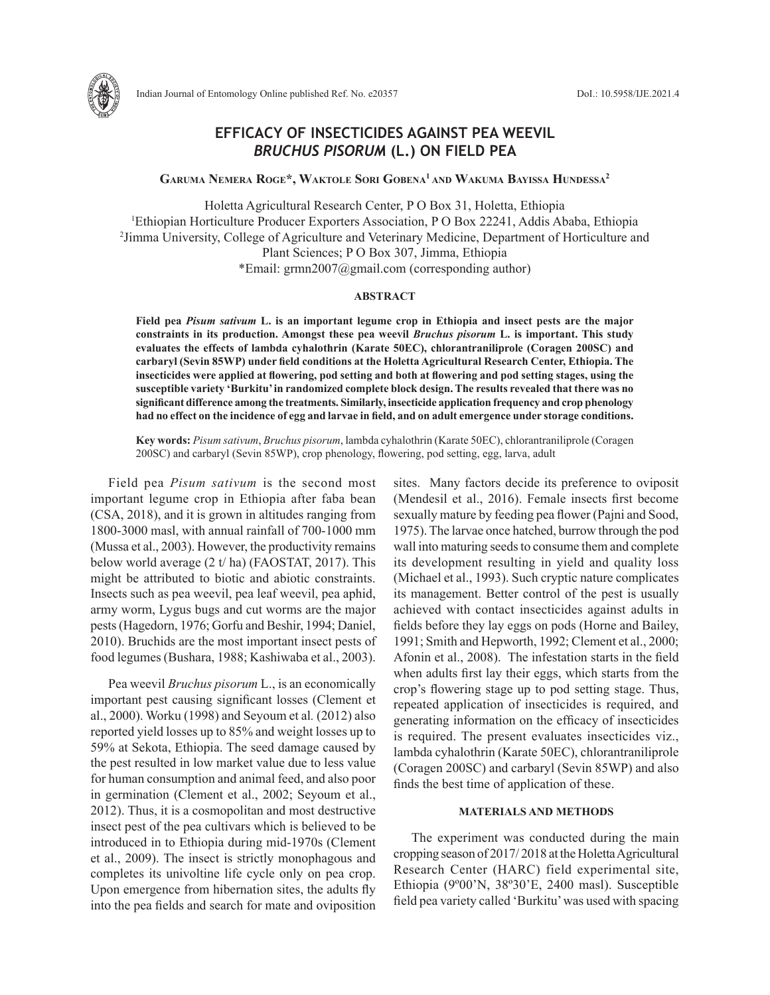

# **EFFICACY OF INSECTICIDES AGAINST PEA WEEVIL**  *BRUCHUS PISORUM* **(L.) ON FIELD PEA**

**Garuma Nemera Roge\*, Waktole Sori Gobena1 and Wakuma Bayissa Hundessa2**

Holetta Agricultural Research Center, P O Box 31, Holetta, Ethiopia 1 Ethiopian Horticulture Producer Exporters Association, P O Box 22241, Addis Ababa, Ethiopia <sup>2</sup> Jimma University, College of Agriculture and Veterinary Medicine, Department of Horticulture and Plant Sciences; P O Box 307, Jimma, Ethiopia \*Email: grmn2007@gmail.com (corresponding author)

## **ABSTRACT**

**Field pea** *Pisum sativum* **L. is an important legume crop in Ethiopia and insect pests are the major constraints in its production. Amongst these pea weevil** *Bruchus pisorum* **L. is important. This study evaluates the effects of lambda cyhalothrin (Karate 50EC), chlorantraniliprole (Coragen 200SC) and carbaryl (Sevin 85WP) under field conditions at the Holetta Agricultural Research Center, Ethiopia. The insecticides were applied at flowering, pod setting and both at flowering and pod setting stages, using the susceptible variety 'Burkitu' in randomized complete block design. The results revealed that there was no significant difference among the treatments. Similarly, insecticide application frequency and crop phenology had no effect on the incidence of egg and larvae in field, and on adult emergence under storage conditions.** 

**Key words:** *Pisum sativum*, *Bruchus pisorum*, lambda cyhalothrin (Karate 50EC), chlorantraniliprole (Coragen 200SC) and carbaryl (Sevin 85WP), crop phenology, flowering, pod setting, egg, larva, adult

Field pea *Pisum sativum* is the second most important legume crop in Ethiopia after faba bean (CSA, 2018), and it is grown in altitudes ranging from 1800-3000 masl, with annual rainfall of 700-1000 mm (Mussa et al., 2003). However, the productivity remains below world average (2 t/ ha) (FAOSTAT, 2017). This might be attributed to biotic and abiotic constraints. Insects such as pea weevil, pea leaf weevil, pea aphid, army worm, Lygus bugs and cut worms are the major pests (Hagedorn, 1976; Gorfu and Beshir, 1994; Daniel, 2010). Bruchids are the most important insect pests of food legumes (Bushara, 1988; Kashiwaba et al., 2003).

Pea weevil *Bruchus pisorum* L., is an economically important pest causing significant losses (Clement et al., 2000). Worku (1998) and Seyoum et al*.* (2012) also reported yield losses up to 85% and weight losses up to 59% at Sekota, Ethiopia. The seed damage caused by the pest resulted in low market value due to less value for human consumption and animal feed, and also poor in germination (Clement et al., 2002; Seyoum et al., 2012). Thus, it is a cosmopolitan and most destructive insect pest of the pea cultivars which is believed to be introduced in to Ethiopia during mid-1970s (Clement et al., 2009). The insect is strictly monophagous and completes its univoltine life cycle only on pea crop. Upon emergence from hibernation sites, the adults fly into the pea fields and search for mate and oviposition

sites. Many factors decide its preference to oviposit (Mendesil et al., 2016). Female insects first become sexually mature by feeding pea flower (Pajni and Sood, 1975). The larvae once hatched, burrow through the pod wall into maturing seeds to consume them and complete its development resulting in yield and quality loss (Michael et al., 1993). Such cryptic nature complicates its management. Better control of the pest is usually achieved with contact insecticides against adults in fields before they lay eggs on pods (Horne and Bailey, 1991; Smith and Hepworth, 1992; Clement et al., 2000; Afonin et al., 2008). The infestation starts in the field when adults first lay their eggs, which starts from the crop's flowering stage up to pod setting stage. Thus, repeated application of insecticides is required, and generating information on the efficacy of insecticides is required. The present evaluates insecticides viz., lambda cyhalothrin (Karate 50EC), chlorantraniliprole (Coragen 200SC) and carbaryl (Sevin 85WP) and also finds the best time of application of these.

# **MATERIALS AND METHODS**

The experiment was conducted during the main cropping season of 2017/ 2018 at the Holetta Agricultural Research Center (HARC) field experimental site, Ethiopia (9º00'N, 38º30'E, 2400 masl). Susceptible field pea variety called 'Burkitu' was used with spacing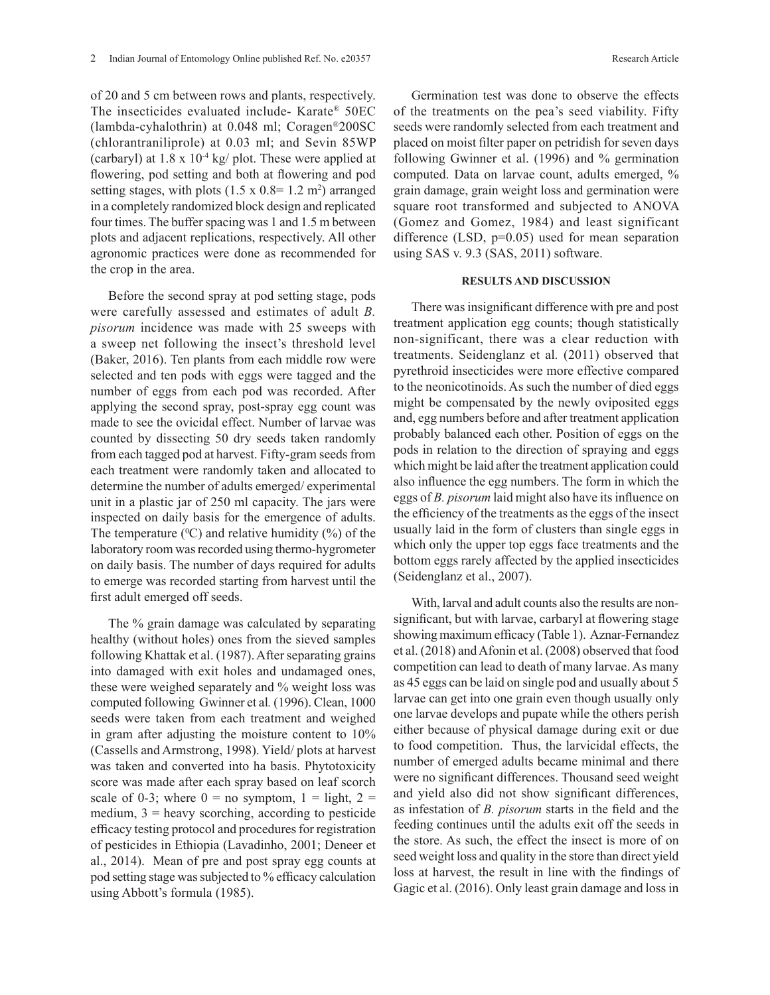of 20 and 5 cm between rows and plants, respectively. The insecticides evaluated include- Karate® 50EC (lambda-cyhalothrin) at 0.048 ml; Coragen®200SC (chlorantraniliprole) at 0.03 ml; and Sevin 85WP (carbaryl) at  $1.8 \times 10^{-4}$  kg/ plot. These were applied at flowering, pod setting and both at flowering and pod setting stages, with plots  $(1.5 \times 0.8) = 1.2 \text{ m}^2$  arranged in a completely randomized block design and replicated four times. The buffer spacing was 1 and 1.5 m between plots and adjacent replications, respectively. All other agronomic practices were done as recommended for the crop in the area.

Before the second spray at pod setting stage, pods were carefully assessed and estimates of adult *B. pisorum* incidence was made with 25 sweeps with a sweep net following the insect's threshold level (Baker, 2016). Ten plants from each middle row were selected and ten pods with eggs were tagged and the number of eggs from each pod was recorded. After applying the second spray, post-spray egg count was made to see the ovicidal effect. Number of larvae was counted by dissecting 50 dry seeds taken randomly from each tagged pod at harvest. Fifty-gram seeds from each treatment were randomly taken and allocated to determine the number of adults emerged/ experimental unit in a plastic jar of 250 ml capacity. The jars were inspected on daily basis for the emergence of adults. The temperature  $(^{0}C)$  and relative humidity  $(^{9}O)$  of the laboratory room was recorded using thermo-hygrometer on daily basis. The number of days required for adults to emerge was recorded starting from harvest until the first adult emerged off seeds.

The % grain damage was calculated by separating healthy (without holes) ones from the sieved samples following Khattak et al. (1987). After separating grains into damaged with exit holes and undamaged ones, these were weighed separately and % weight loss was computed following Gwinner et al*.* (1996). Clean, 1000 seeds were taken from each treatment and weighed in gram after adjusting the moisture content to 10% (Cassells and Armstrong, 1998). Yield/ plots at harvest was taken and converted into ha basis. Phytotoxicity score was made after each spray based on leaf scorch scale of 0-3; where  $0 =$  no symptom,  $1 =$  light,  $2 =$ medium,  $3$  = heavy scorching, according to pesticide efficacy testing protocol and procedures for registration of pesticides in Ethiopia (Lavadinho, 2001; Deneer et al., 2014). Mean of pre and post spray egg counts at pod setting stage was subjected to % efficacy calculation using Abbott's formula (1985).

Germination test was done to observe the effects of the treatments on the pea's seed viability. Fifty seeds were randomly selected from each treatment and placed on moist filter paper on petridish for seven days following Gwinner et al. (1996) and % germination computed. Data on larvae count, adults emerged, % grain damage, grain weight loss and germination were square root transformed and subjected to ANOVA (Gomez and Gomez, 1984) and least significant difference (LSD,  $p=0.05$ ) used for mean separation using SAS v. 9.3 (SAS, 2011) software.

### **RESULTS AND DISCUSSION**

There was insignificant difference with pre and post treatment application egg counts; though statistically non-significant, there was a clear reduction with treatments. Seidenglanz et al*.* (2011) observed that pyrethroid insecticides were more effective compared to the neonicotinoids. As such the number of died eggs might be compensated by the newly oviposited eggs and, egg numbers before and after treatment application probably balanced each other. Position of eggs on the pods in relation to the direction of spraying and eggs which might be laid after the treatment application could also influence the egg numbers. The form in which the eggs of *B. pisorum* laid might also have its influence on the efficiency of the treatments as the eggs of the insect usually laid in the form of clusters than single eggs in which only the upper top eggs face treatments and the bottom eggs rarely affected by the applied insecticides (Seidenglanz et al., 2007).

With, larval and adult counts also the results are nonsignificant, but with larvae, carbaryl at flowering stage showing maximum efficacy (Table 1). Aznar-Fernandez et al. (2018) and Afonin et al. (2008) observed that food competition can lead to death of many larvae. As many as 45 eggs can be laid on single pod and usually about 5 larvae can get into one grain even though usually only one larvae develops and pupate while the others perish either because of physical damage during exit or due to food competition. Thus, the larvicidal effects, the number of emerged adults became minimal and there were no significant differences. Thousand seed weight and yield also did not show significant differences, as infestation of *B. pisorum* starts in the field and the feeding continues until the adults exit off the seeds in the store. As such, the effect the insect is more of on seed weight loss and quality in the store than direct yield loss at harvest, the result in line with the findings of Gagic et al. (2016). Only least grain damage and loss in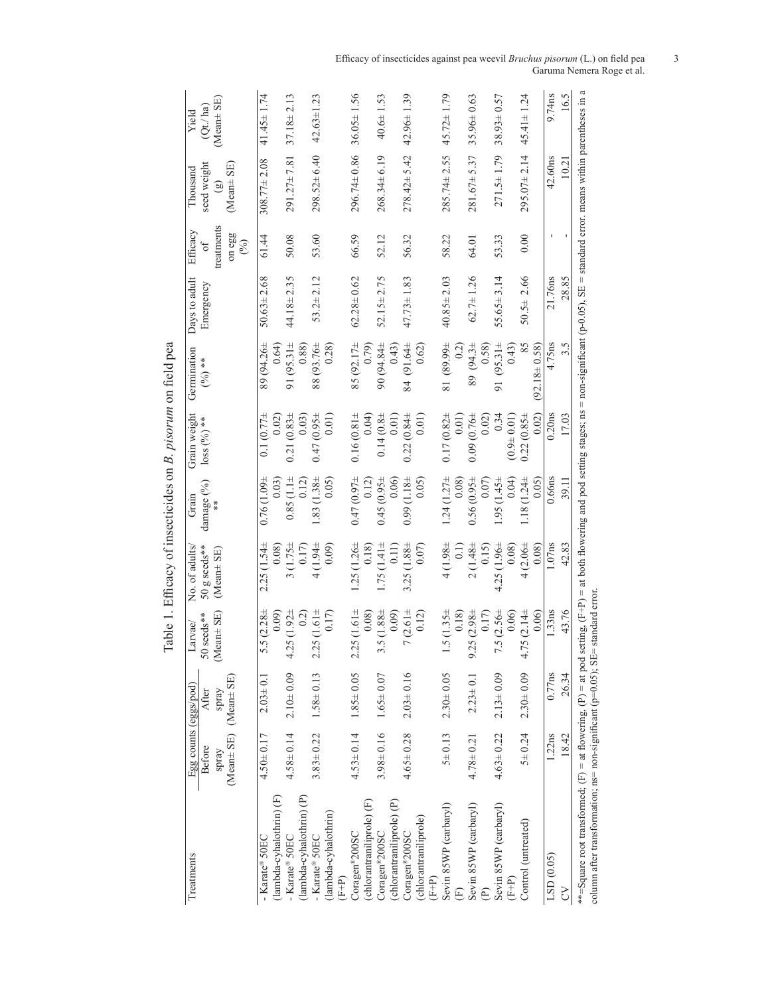| con hald nos<br>$\vdots$                                      |
|---------------------------------------------------------------|
| そうきん こうかい                                                     |
| ֧֧֧֧֧֧ׅ֧֧ׅ֧֧֛֛֛֚֚֚֚֚֚֚֚֚֚֚֚֚֚֚֚֚֚֚֚֚֚֚֚֚֡֝֓֝֓֕֓֝֓֝֓֝֬֜֓֜֜֓֝֬֜ |
| r so coordrotter + c .rccc                                    |
| ۶<br>آ<br>j                                                   |

| Treatments                                                                                                                                                                                                                                                                                  | $(Mean \pm SE)$ $(Mean \pm SE)$<br>Before<br>spray | Egg counts (eggs/pod)<br>After<br>spray | $[ean \pm SE]$<br>50 seeds**<br>Larvae/<br>S | No. of adults<br>50 g seeds**<br>(Mean± SE)          | damage (%)<br>Grain        | Grain weight<br>$loss (9/6)$ ** | Germination<br>$(\frac{0}{0})$ **       | Days to adult<br>Emergency | treatments<br>Efficacy<br>on egg<br>$(\%)$<br>of | seed weight<br>(Mean± SE)<br>Thousand<br>$\left( \frac{1}{2} \right)$ | $(Mean \pm SE)$<br>(Qt / ha)<br>Yield |
|---------------------------------------------------------------------------------------------------------------------------------------------------------------------------------------------------------------------------------------------------------------------------------------------|----------------------------------------------------|-----------------------------------------|----------------------------------------------|------------------------------------------------------|----------------------------|---------------------------------|-----------------------------------------|----------------------------|--------------------------------------------------|-----------------------------------------------------------------------|---------------------------------------|
| (Tambda-cyhalothrin) (F<br>- Karate® 50EC                                                                                                                                                                                                                                                   | $4.50 \pm 0.17$                                    | $2.03 \pm 0.1$                          | 5.5 $(2.28 \pm$<br>0.09                      | $2.25(1.54 \pm$<br>0.08                              | $0.76(1.09 \pm$<br>0.03    | $0.1(0.77+)$<br>0.02)           | 89 (94.26±<br>0.64                      | $50.63 \pm 2.68$           | 61.44                                            | $308.77 \pm 2.08$                                                     | $41.45 \pm 1.74$                      |
| (lambda-cyhalothrin) (P)<br>- Karate® 50EC                                                                                                                                                                                                                                                  | $4.58 \pm 0.14$                                    | $2.10 + 0.09$                           | $4.25(1.92 \pm$<br>(2)                       | $3(1.75 \pm$<br>0.17)                                | 0.85(1.1)<br>(12)          | $0.21(0.83 +$<br>0.03)          | 91 $(95.31 \pm$<br>0.88)                | $44.18 \pm 2.35$           | 50.08                                            | $291.27 \pm 7.81$                                                     | $37.18 \pm 2.13$                      |
| (lambda-cyhalothrin)<br>- Karate® 50EC<br>$(F+P)$                                                                                                                                                                                                                                           | $3.83 \pm 0.22$                                    | $1.58 \pm 0.13$                         | $2.25(1.61 \pm$<br>0.17                      | $4(1.94 \pm$<br>0.09                                 | $-83(1.38 +$<br>(50, 0)    | $0.47(0.95 \pm$<br>0.01         | 88 (93.76±<br>0.28                      | $53.2 \pm 2.12$            | 53.60                                            | $298.52 \pm 6.40$                                                     | $42.63 \pm 1.23$                      |
| (chlorantraniliprole) (F)<br>Coragen®200SC                                                                                                                                                                                                                                                  | $4.53 \pm 0.14$                                    | $1.85 \pm 0.05$                         | $2.25(1.61 \pm$<br>0.08                      | $1.25(1.26 \pm$<br>0.18                              | $0.47(0.97 +$<br>0.12      | $0.16(0.81 \pm$<br>0.04         | 85 (92.17±<br>(6,79)                    | $62.28 \pm 0.62$           | 66.59                                            | $296.74 \pm 0.86$                                                     | $36.05 \pm 1.56$                      |
| (chlorantraniliprole) (P)<br>Coragen®200SC                                                                                                                                                                                                                                                  |                                                    | $3.98 \pm 0.16$ $1.65 \pm 0.07$         | $3.5(1.88 +$<br>0.09                         | $1.75(1.41 \pm$<br>0.11)                             | $0.45(0.95 \pm$<br>0.06    | $0.14(0.8 +$<br>0.01)           | 90 (94.84±<br>(6.43)                    | $52.15 \pm 2.75$           | 52.12                                            | $268.34 \pm 6.19$                                                     | $40.6 \pm 1.53$                       |
| (chlorantraniliprole)<br>Coragen®200SC<br>$(F+P)$                                                                                                                                                                                                                                           | $4.65 \pm 0.28$                                    | $2.03 \pm 0.16$                         | $7(2.61 \pm$<br>0.12)                        | $3.25(1.88 \pm$<br>(0.07)                            | $0.99(1.18 \pm$<br>(50, 0) | $0.22(0.84 \pm$<br>0.01)        | 84 (91.64±<br>0.62)                     | $47.73 \pm 1.83$           | 56.32                                            | $278.42 \pm 5.42$                                                     | $42.96 \pm 1.39$                      |
| Sevin 85WP (carbaryl)                                                                                                                                                                                                                                                                       | $5 + 0.13$                                         | $2.30 \pm 0.05$                         | $1.5(1.35 \pm$<br>0.18)                      | $4(1.98 \pm$<br>$\begin{matrix} 1 \\ 0 \end{matrix}$ | $1.24(1.27\pm$<br>0.08     | $0.17(0.82 +$<br>0.01)          | ≆66688 18<br>(50                        | $40.85 \pm 2.03$           | 58.22                                            | $285.74 \pm 2.55$                                                     | $45.72 \pm 1.79$                      |
| Sevin 85WP (carbaryl)                                                                                                                                                                                                                                                                       | $4.78 \pm 0.21$                                    | $2.23 \pm 0.1$                          | $9.25(2.98 \pm$<br>0.17                      | $2(1.48 \pm$<br>0.15                                 | $0.56(0.95 \pm$<br>0.07    | $0.09(0.76 \pm$<br>0.02         | 89 $(94.3 \pm$<br>0.58                  | $62.7 \pm 1.26$            | 64.01                                            | $281.67 \pm 5.37$                                                     | $35.96 \pm 0.63$                      |
| Sevin 85WP (carbaryl)<br>$(F+P)$                                                                                                                                                                                                                                                            | $4.63 \pm 0.22$                                    | $2.13 \pm 0.09$                         | $7.5(2.56 \pm$<br>0.06)                      | $4.25(1.96 \pm$<br>0.08                              | $-35(1.45 \pm$<br>(6.04)   | 0.34<br>$(0.9 + 0.01)$          | $(95.31 \pm$<br>0.43)<br>$\overline{9}$ | $55.65 \pm 3.14$           | 53.33                                            | $271.5 \pm 1.79$                                                      | $38.93 \pm 0.57$                      |
| Control (untreated)                                                                                                                                                                                                                                                                         | $5 + 0.24$                                         | $2.30 \pm 0.09$                         | $4.75(2.14 \pm$<br>0.06                      | $4(2.06 \pm$<br>0.08                                 | $1.18(1.24 \pm$<br>0.05    | 0.02<br>$0.22(0.85 \pm$         | 85<br>$92.18 \pm 0.58$                  | 2.66<br>$50.5 \pm$         | 0.00                                             | $295.07 \pm 2.14$                                                     | $45.41 \pm 1.24$                      |
| LSD (0.05)                                                                                                                                                                                                                                                                                  | 1.22ns                                             | 0.77ns                                  | 1.33ns                                       | 1.07 <sub>ns</sub>                                   | 0.66ns                     | 0.20 <sub>ns</sub>              | 4.75ns                                  | 21.76ns                    |                                                  | 42.60ns                                                               | 9.74ns                                |
| 5                                                                                                                                                                                                                                                                                           | 18.42                                              | 26.34                                   | 43.76                                        | 42.83                                                | 39.11                      | 17.03                           | 3.5                                     | 28.85                      |                                                  | 10.21                                                                 | 16.5                                  |
| **=Square root transformed; $(F)$ = at $p$ at $p$ = at $p$ setting, $(F+P)$ = at both flowering and pod setting stages; ns = non-significant $(p-0.05)$ , SE = standard error. means within parentheses in<br>column after transformation; ns= non-significant (p=0.05); SE= standard error |                                                    |                                         |                                              |                                                      |                            |                                 |                                         |                            |                                                  |                                                                       | a                                     |

Efficacy of insecticides against pea weevil *Bruchus pisorum* (L.) on field pea 3 Garuma Nemera Roge et al.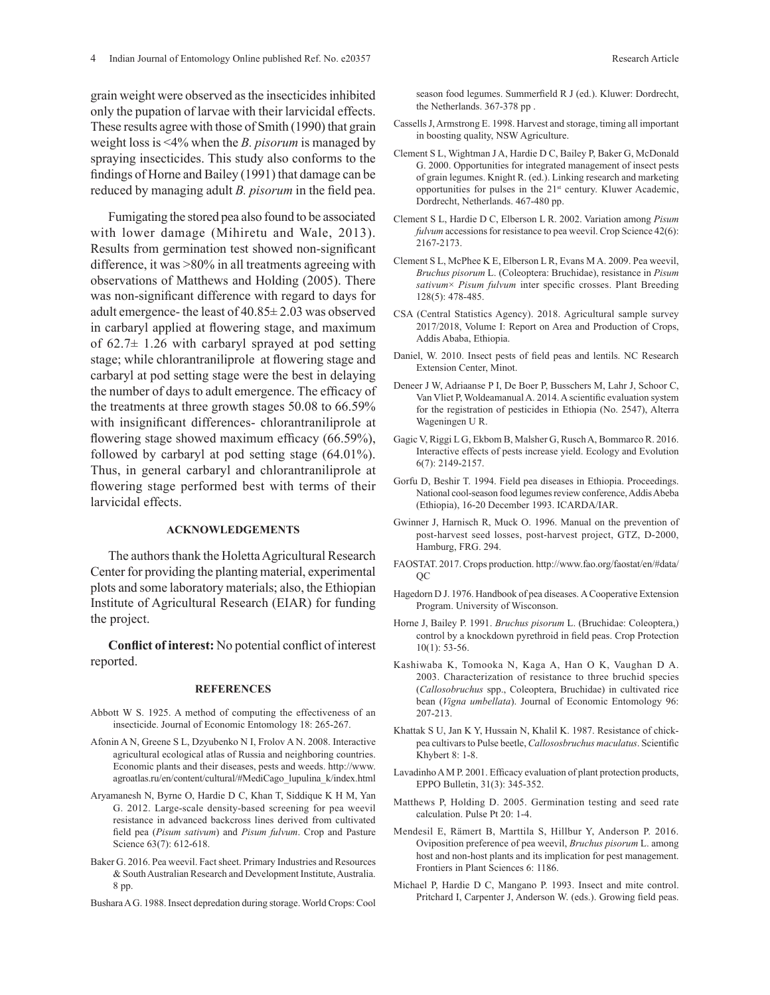grain weight were observed as the insecticides inhibited only the pupation of larvae with their larvicidal effects. These results agree with those of Smith (1990) that grain weight loss is <4% when the *B. pisorum* is managed by spraying insecticides. This study also conforms to the findings of Horne and Bailey (1991) that damage can be reduced by managing adult *B. pisorum* in the field pea.

Fumigating the stored pea also found to be associated with lower damage (Mihiretu and Wale, 2013). Results from germination test showed non-significant difference, it was >80% in all treatments agreeing with observations of Matthews and Holding (2005). There was non-significant difference with regard to days for adult emergence- the least of 40.85± 2.03 was observed in carbaryl applied at flowering stage, and maximum of  $62.7 \pm 1.26$  with carbaryl sprayed at pod setting stage; while chlorantraniliprole at flowering stage and carbaryl at pod setting stage were the best in delaying the number of days to adult emergence. The efficacy of the treatments at three growth stages 50.08 to 66.59% with insignificant differences- chlorantraniliprole at flowering stage showed maximum efficacy (66.59%), followed by carbaryl at pod setting stage (64.01%). Thus, in general carbaryl and chlorantraniliprole at flowering stage performed best with terms of their larvicidal effects.

#### **ACKNOWLEDGEMENTS**

The authors thank the Holetta Agricultural Research Center for providing the planting material, experimental plots and some laboratory materials; also, the Ethiopian Institute of Agricultural Research (EIAR) for funding the project.

**Conflict of interest:** No potential conflict of interest reported.

#### **REFERENCES**

- Abbott W S. 1925. A method of computing the effectiveness of an insecticide. Journal of Economic Entomology 18: 265-267.
- Afonin A N, Greene S L, Dzyubenko N I, Frolov A N. 2008. Interactive agricultural ecological atlas of Russia and neighboring countries. Economic plants and their diseases, pests and weeds. http://www. agroatlas.ru/en/content/cultural/#MediCago\_lupulina\_k/index.html
- Aryamanesh N, Byrne O, Hardie D C, Khan T, Siddique K H M, Yan G. 2012. Large-scale density-based screening for pea weevil resistance in advanced backcross lines derived from cultivated field pea (*Pisum sativum*) and *Pisum fulvum*. Crop and Pasture Science 63(7): 612-618.
- Baker G. 2016. Pea weevil. Fact sheet. Primary Industries and Resources & South Australian Research and Development Institute, Australia. 8 pp.

Bushara A G. 1988. Insect depredation during storage. World Crops: Cool

season food legumes. Summerfield R J (ed.). Kluwer: Dordrecht, the Netherlands. 367-378 pp .

- Cassells J, Armstrong E. 1998. Harvest and storage, timing all important in boosting quality, NSW Agriculture.
- Clement S L, Wightman J A, Hardie D C, Bailey P, Baker G, McDonald G. 2000. Opportunities for integrated management of insect pests of grain legumes. Knight R. (ed.). Linking research and marketing opportunities for pulses in the 21st century. Kluwer Academic, Dordrecht, Netherlands. 467-480 pp.
- Clement S L, Hardie D C, Elberson L R. 2002. Variation among *Pisum fulvum* accessions for resistance to pea weevil. Crop Science 42(6): 2167-2173.
- Clement S L, McPhee K E, Elberson L R, Evans M A. 2009. Pea weevil, *Bruchus pisorum* L. (Coleoptera: Bruchidae), resistance in *Pisum sativum*× *Pisum fulvum* inter specific crosses. Plant Breeding 128(5): 478-485.
- CSA (Central Statistics Agency). 2018. Agricultural sample survey 2017/2018, Volume I: Report on Area and Production of Crops, Addis Ababa, Ethiopia.
- Daniel, W. 2010. Insect pests of field peas and lentils. NC Research Extension Center, Minot.
- Deneer J W, Adriaanse P I, De Boer P, Busschers M, Lahr J, Schoor C, Van Vliet P, Woldeamanual A. 2014. A scientific evaluation system for the registration of pesticides in Ethiopia (No. 2547), Alterra Wageningen U R.
- Gagic V, Riggi L G, Ekbom B, Malsher G, Rusch A, Bommarco R. 2016. Interactive effects of pests increase yield. Ecology and Evolution 6(7): 2149-2157.
- Gorfu D, Beshir T. 1994. Field pea diseases in Ethiopia. Proceedings. National cool-season food legumes review conference, Addis Abeba (Ethiopia), 16-20 December 1993. ICARDA/IAR.
- Gwinner J, Harnisch R, Muck O. 1996. Manual on the prevention of post-harvest seed losses, post-harvest project, GTZ, D-2000, Hamburg, FRG. 294.
- FAOSTAT. 2017. Crops production. http://www.fao.org/faostat/en/#data/ QC
- Hagedorn D J. 1976. Handbook of pea diseases. A Cooperative Extension Program. University of Wisconson.
- Horne J, Bailey P. 1991. *Bruchus pisorum* L. (Bruchidae: Coleoptera,) control by a knockdown pyrethroid in field peas. Crop Protection 10(1): 53-56.
- Kashiwaba K, Tomooka N, Kaga A, Han O K, Vaughan D A. 2003. Characterization of resistance to three bruchid species (*Callosobruchus* spp., Coleoptera, Bruchidae) in cultivated rice bean (*Vigna umbellata*). Journal of Economic Entomology 96: 207-213.
- Khattak S U, Jan K Y, Hussain N, Khalil K. 1987. Resistance of chickpea cultivars to Pulse beetle, *Callososbruchus maculatus*. Scientific Khybert 8: 1-8.
- Lavadinho A M P. 2001. Efficacy evaluation of plant protection products, EPPO Bulletin, 31(3): 345-352.
- Matthews P, Holding D. 2005. Germination testing and seed rate calculation. Pulse Pt 20: 1-4.
- Mendesil E, Rämert B, Marttila S, Hillbur Y, Anderson P. 2016. Oviposition preference of pea weevil, *Bruchus pisorum* L. among host and non-host plants and its implication for pest management. Frontiers in Plant Sciences 6: 1186.
- Michael P, Hardie D C, Mangano P. 1993. Insect and mite control. Pritchard I, Carpenter J, Anderson W. (eds.). Growing field peas.